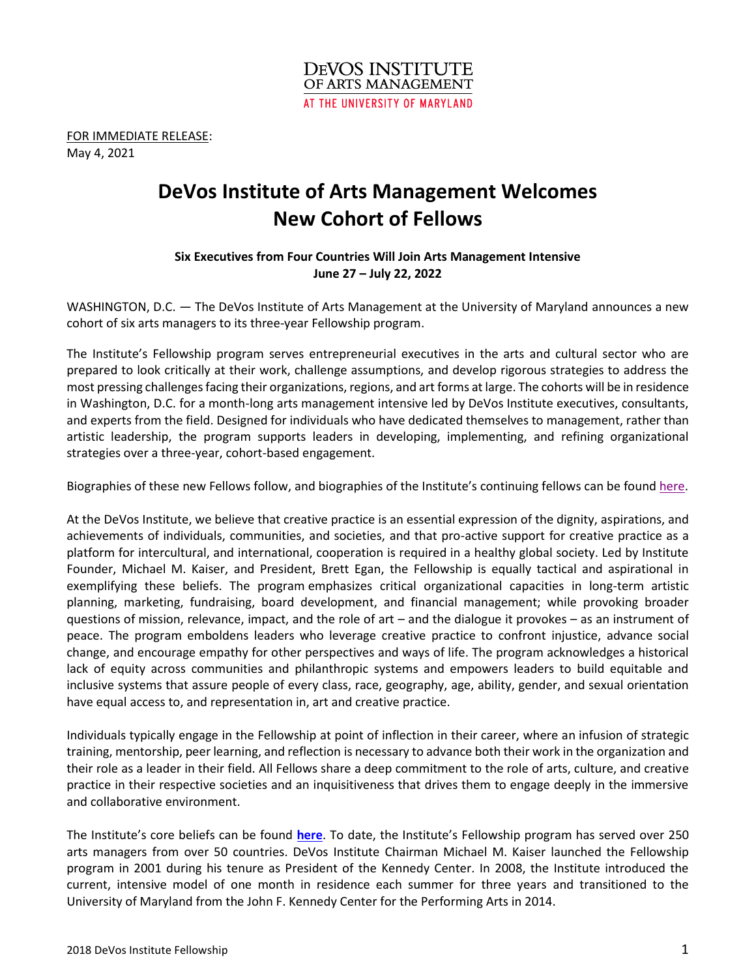

FOR IMMEDIATE RELEASE: May 4, 2021

# **DeVos Institute of Arts Management Welcomes New Cohort of Fellows**

# **Six Executives from Four Countries Will Join Arts Management Intensive June 27 – July 22, 2022**

WASHINGTON, D.C. — The DeVos Institute of Arts Management at the University of Maryland announces a new cohort of six arts managers to its three-year Fellowship program.

The Institute's Fellowship program serves entrepreneurial executives in the arts and cultural sector who are prepared to look critically at their work, challenge assumptions, and develop rigorous strategies to address the most pressing challenges facing their organizations, regions, and art forms at large. The cohorts will be in residence in Washington, D.C. for a month-long arts management intensive led by DeVos Institute executives, consultants, and experts from the field. Designed for individuals who have dedicated themselves to management, rather than artistic leadership, the program supports leaders in developing, implementing, and refining organizational strategies over a three-year, cohort-based engagement.

Biographies of these new Fellows follow, and biographies of the Institute's continuing fellows can be found [here.](http://devosinstitute.umd.edu/What-We-Do/Services-For-Individuals/Fellowship/2019%20Fellows)

At the DeVos Institute, we believe that creative practice is an essential expression of the dignity, aspirations, and achievements of individuals, communities, and societies, and that pro-active support for creative practice as a platform for intercultural, and international, cooperation is required in a healthy global society. Led by Institute Founder, Michael M. Kaiser, and President, Brett Egan, the Fellowship is equally tactical and aspirational in exemplifying these beliefs. The program emphasizes critical organizational capacities in long-term artistic planning, marketing, fundraising, board development, and financial management; while provoking broader questions of mission, relevance, impact, and the role of art – and the dialogue it provokes – as an instrument of peace. The program emboldens leaders who leverage creative practice to confront injustice, advance social change, and encourage empathy for other perspectives and ways of life. The program acknowledges a historical lack of equity across communities and philanthropic systems and empowers leaders to build equitable and inclusive systems that assure people of every class, race, geography, age, ability, gender, and sexual orientation have equal access to, and representation in, art and creative practice.

Individuals typically engage in the Fellowship at point of inflection in their career, where an infusion of strategic training, mentorship, peer learning, and reflection is necessary to advance both their work in the organization and their role as a leader in their field. All Fellows share a deep commitment to the role of arts, culture, and creative practice in their respective societies and an inquisitiveness that drives them to engage deeply in the immersive and collaborative environment.

The Institute's core beliefs can be found **[here](http://devosinstitute.umd.edu/Who-We-Are/Core%20Beliefs)**. To date, the Institute's Fellowship program has served over 250 arts managers from over 50 countries. DeVos Institute Chairman Michael M. Kaiser launched the Fellowship program in 2001 during his tenure as President of the Kennedy Center. In 2008, the Institute introduced the current, intensive model of one month in residence each summer for three years and transitioned to the University of Maryland from the John F. Kennedy Center for the Performing Arts in 2014.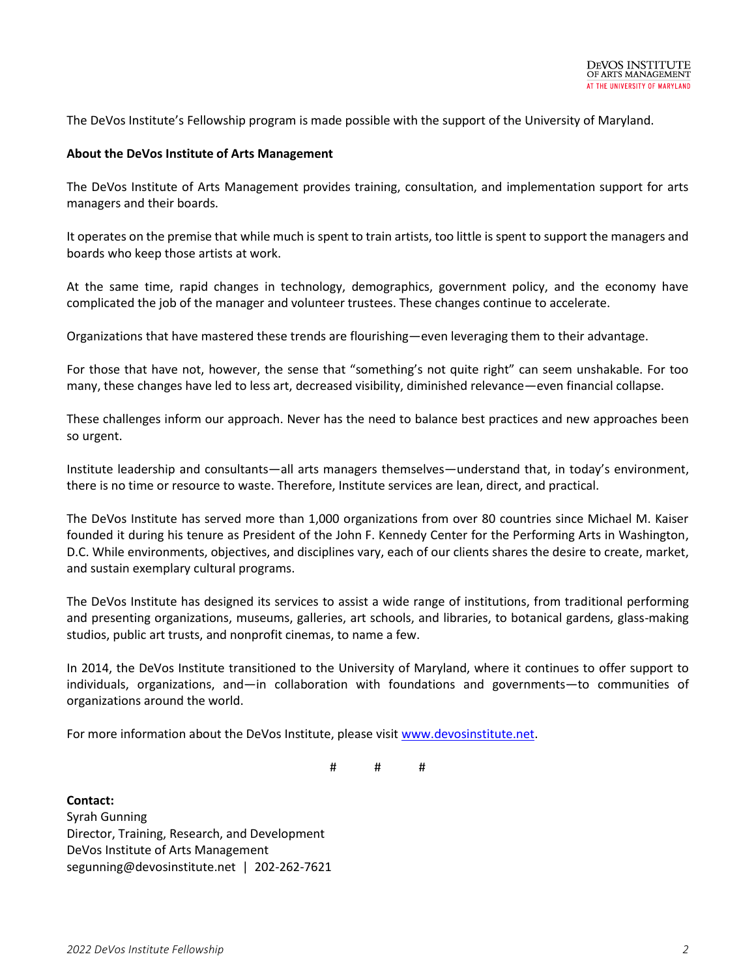The DeVos Institute's Fellowship program is made possible with the support of the University of Maryland.

#### **About the DeVos Institute of Arts Management**

The DeVos Institute of Arts Management provides training, consultation, and implementation support for arts managers and their boards.

It operates on the premise that while much is spent to train artists, too little is spent to support the managers and boards who keep those artists at work.

At the same time, rapid changes in technology, demographics, government policy, and the economy have complicated the job of the manager and volunteer trustees. These changes continue to accelerate.

Organizations that have mastered these trends are flourishing—even leveraging them to their advantage.

For those that have not, however, the sense that "something's not quite right" can seem unshakable. For too many, these changes have led to less art, decreased visibility, diminished relevance—even financial collapse.

These challenges inform our approach. Never has the need to balance best practices and new approaches been so urgent.

Institute leadership and consultants—all arts managers themselves—understand that, in today's environment, there is no time or resource to waste. Therefore, Institute services are lean, direct, and practical.

The DeVos Institute has served more than 1,000 organizations from over 80 countries since Michael M. Kaiser founded it during his tenure as President of the John F. Kennedy Center for the Performing Arts in Washington, D.C. While environments, objectives, and disciplines vary, each of our clients shares the desire to create, market, and sustain exemplary cultural programs.

The DeVos Institute has designed its services to assist a wide range of institutions, from traditional performing and presenting organizations, museums, galleries, art schools, and libraries, to botanical gardens, glass-making studios, public art trusts, and nonprofit cinemas, to name a few.

In 2014, the DeVos Institute transitioned to the University of Maryland, where it continues to offer support to individuals, organizations, and—in collaboration with foundations and governments—to communities of organizations around the world.

For more information about the DeVos Institute, please visit [www.devosinstitute.net.](http://www.devosinstitute.net/)

# # #

**Contact:** Syrah Gunning Director, Training, Research, and Development DeVos Institute of Arts Management segunning@devosinstitute.net | 202-262-7621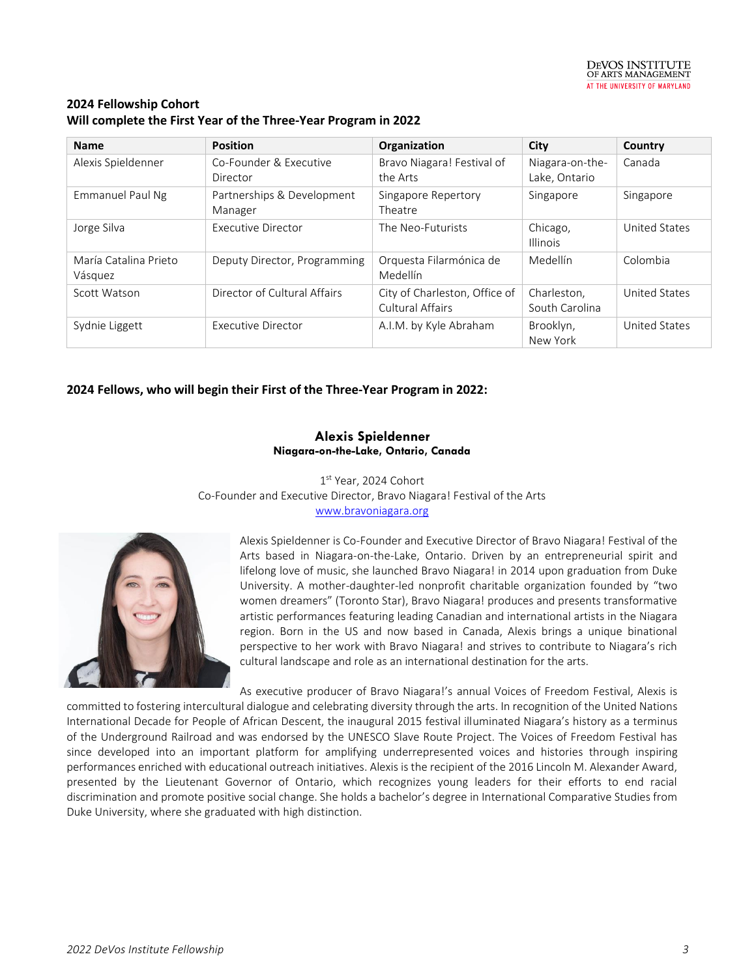

## **2024 Fellowship Cohort Will complete the First Year of the Three-Year Program in 2022**

| <b>Name</b>                      | <b>Position</b>                       | Organization                                      | City                             | Country       |
|----------------------------------|---------------------------------------|---------------------------------------------------|----------------------------------|---------------|
| Alexis Spieldenner               | Co-Founder & Executive<br>Director    | Bravo Niagara! Festival of<br>the Arts            | Niagara-on-the-<br>Lake, Ontario | Canada        |
| Emmanuel Paul Ng                 | Partnerships & Development<br>Manager | Singapore Repertory<br>Theatre                    | Singapore                        | Singapore     |
| Jorge Silva                      | Executive Director                    | The Neo-Futurists                                 | Chicago,<br><b>Illinois</b>      | United States |
| María Catalina Prieto<br>Vásquez | Deputy Director, Programming          | Orquesta Filarmónica de<br>Medellín               | Medellín                         | Colombia      |
| Scott Watson                     | Director of Cultural Affairs          | City of Charleston, Office of<br>Cultural Affairs | Charleston,<br>South Carolina    | United States |
| Sydnie Liggett                   | Executive Director                    | A.I.M. by Kyle Abraham                            | Brooklyn,<br>New York            | United States |

#### **2024 Fellows, who will begin their First of the Three-Year Program in 2022:**

#### **Alexis Spieldenner Niagara-on-the-Lake, Ontario, Canada**

1 st Year, 2024 Cohort Co-Founder and Executive Director, Bravo Niagara! Festival of the Arts [www.bravoniagara.org](http://www.bravoniagara.org/)



Alexis Spieldenner is Co-Founder and Executive Director of Bravo Niagara! Festival of the Arts based in Niagara-on-the-Lake, Ontario. Driven by an entrepreneurial spirit and lifelong love of music, she launched Bravo Niagara! in 2014 upon graduation from Duke University. A mother-daughter-led nonprofit charitable organization founded by "two women dreamers" (Toronto Star), Bravo Niagara! produces and presents transformative artistic performances featuring leading Canadian and international artists in the Niagara region. Born in the US and now based in Canada, Alexis brings a unique binational perspective to her work with Bravo Niagara! and strives to contribute to Niagara's rich cultural landscape and role as an international destination for the arts.

As executive producer of Bravo Niagara!'s annual Voices of Freedom Festival, Alexis is committed to fostering intercultural dialogue and celebrating diversity through the arts. In recognition of the United Nations International Decade for People of African Descent, the inaugural 2015 festival illuminated Niagara's history as a terminus of the Underground Railroad and was endorsed by the UNESCO Slave Route Project. The Voices of Freedom Festival has since developed into an important platform for amplifying underrepresented voices and histories through inspiring performances enriched with educational outreach initiatives. Alexis is the recipient of the 2016 Lincoln M. Alexander Award, presented by the Lieutenant Governor of Ontario, which recognizes young leaders for their efforts to end racial discrimination and promote positive social change. She holds a bachelor's degree in International Comparative Studies from Duke University, where she graduated with high distinction.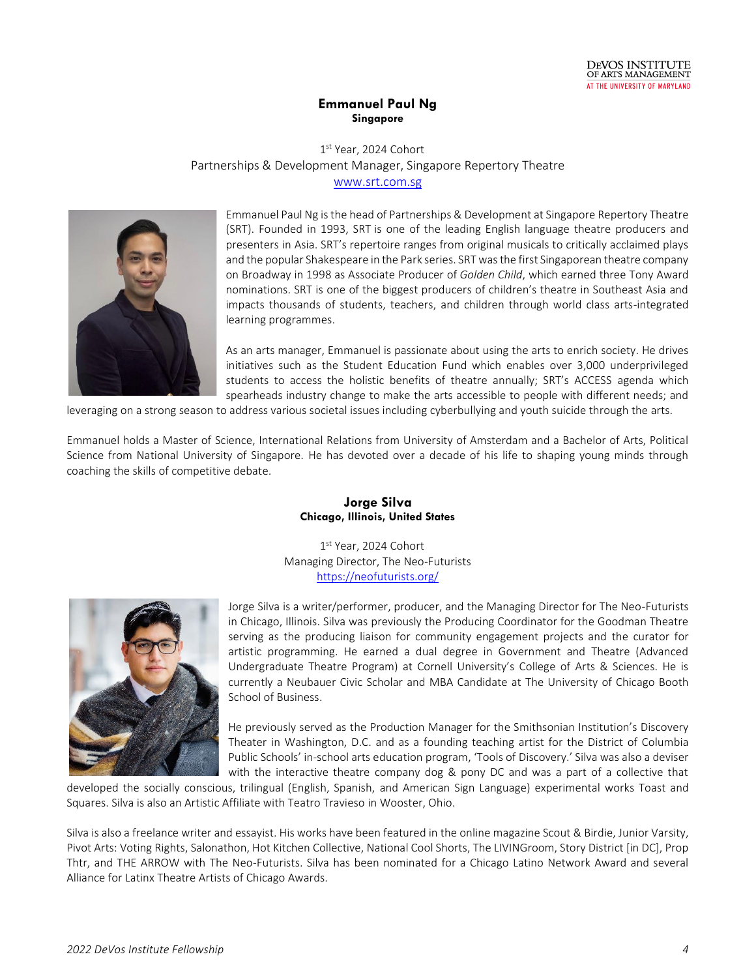

#### **Emmanuel Paul Ng Singapore**

1 st Year, 2024 Cohort Partnerships & Development Manager, Singapore Repertory Theatre [www.srt.com.sg](http://www.srt.com.sg/)



Emmanuel Paul Ng is the head of Partnerships & Development at Singapore Repertory Theatre (SRT). Founded in 1993, SRT is one of the leading English language theatre producers and presenters in Asia. SRT's repertoire ranges from original musicals to critically acclaimed plays and the popular Shakespeare in the Park series. SRT was the first Singaporean theatre company on Broadway in 1998 as Associate Producer of *Golden Child*, which earned three Tony Award nominations. SRT is one of the biggest producers of children's theatre in Southeast Asia and impacts thousands of students, teachers, and children through world class arts-integrated learning programmes.

As an arts manager, Emmanuel is passionate about using the arts to enrich society. He drives initiatives such as the Student Education Fund which enables over 3,000 underprivileged students to access the holistic benefits of theatre annually; SRT's ACCESS agenda which spearheads industry change to make the arts accessible to people with different needs; and

leveraging on a strong season to address various societal issues including cyberbullying and youth suicide through the arts.

Emmanuel holds a Master of Science, International Relations from University of Amsterdam and a Bachelor of Arts, Political Science from National University of Singapore. He has devoted over a decade of his life to shaping young minds through coaching the skills of competitive debate.

#### **Jorge Silva Chicago, Illinois, United States**

1 st Year, 2024 Cohort Managing Director, The Neo-Futurists <https://neofuturists.org/>



Jorge Silva is a writer/performer, producer, and the Managing Director for The Neo-Futurists in Chicago, Illinois. Silva was previously the Producing Coordinator for the Goodman Theatre serving as the producing liaison for community engagement projects and the curator for artistic programming. He earned a dual degree in Government and Theatre (Advanced Undergraduate Theatre Program) at Cornell University's College of Arts & Sciences. He is currently a Neubauer Civic Scholar and MBA Candidate at The University of Chicago Booth School of Business.

He previously served as the Production Manager for the Smithsonian Institution's Discovery Theater in Washington, D.C. and as a founding teaching artist for the District of Columbia Public Schools' in-school arts education program, 'Tools of Discovery.' Silva was also a deviser with the interactive theatre company dog & pony DC and was a part of a collective that

developed the socially conscious, trilingual (English, Spanish, and American Sign Language) experimental works Toast and Squares. Silva is also an Artistic Affiliate with Teatro Travieso in Wooster, Ohio.

Silva is also a freelance writer and essayist. His works have been featured in the online magazine Scout & Birdie, Junior Varsity, Pivot Arts: Voting Rights, Salonathon, Hot Kitchen Collective, National Cool Shorts, The LIVINGroom, Story District [in DC], Prop Thtr, and THE ARROW with The Neo-Futurists. Silva has been nominated for a Chicago Latino Network Award and several Alliance for Latinx Theatre Artists of Chicago Awards.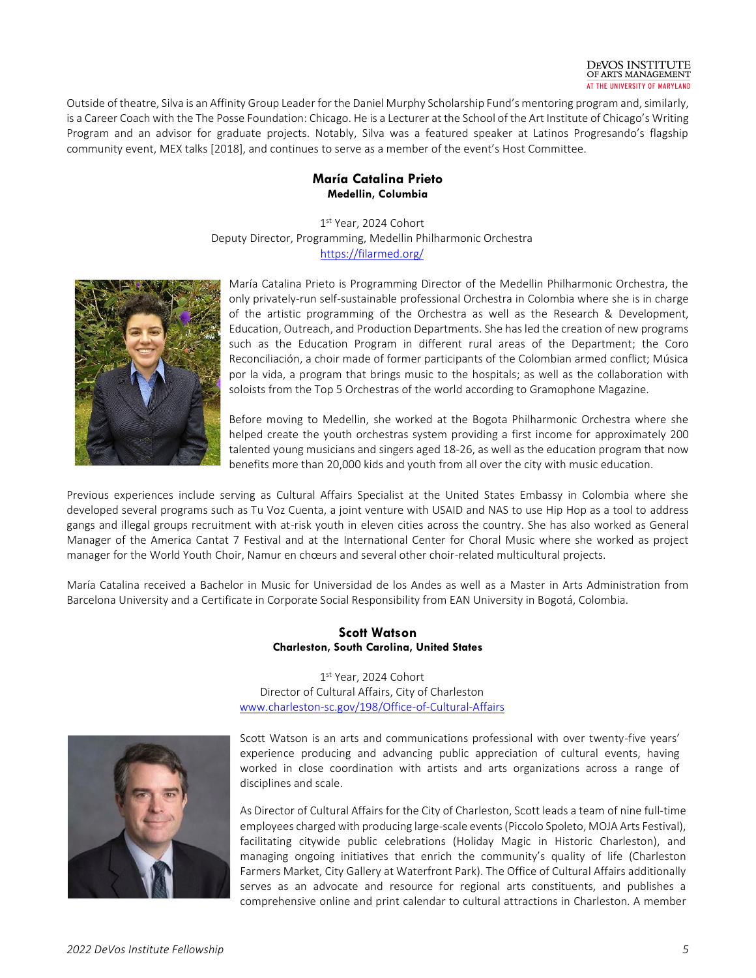

Outside of theatre, Silva is an Affinity Group Leader for the Daniel Murphy Scholarship Fund's mentoring program and, similarly, is a Career Coach with the The Posse Foundation: Chicago. He is a Lecturer at the School of the Art Institute of Chicago's Writing Program and an advisor for graduate projects. Notably, Silva was a featured speaker at Latinos Progresando's flagship community event, [MEX talks](https://www.youtube.com/watch?v=2JFo7qxtzNw) [2018], and continues to serve as a member of the event's Host Committee.

#### **María Catalina Prieto Medellin, Columbia**

1 st Year, 2024 Cohort Deputy Director, Programming, Medellin Philharmonic Orchestra <https://filarmed.org/>



María Catalina Prieto is Programming Director of the Medellin Philharmonic Orchestra, the only privately-run self-sustainable professional Orchestra in Colombia where she is in charge of the artistic programming of the Orchestra as well as the Research & Development, Education, Outreach, and Production Departments. She has led the creation of new programs such as the Education Program in different rural areas of the Department; the Coro Reconciliación, a choir made of former participants of the Colombian armed conflict; Música por la vida, a program that brings music to the hospitals; as well as the collaboration with soloists from the Top 5 Orchestras of the world according to Gramophone Magazine.

Before moving to Medellin, she worked at the Bogota Philharmonic Orchestra where she helped create the youth orchestras system providing a first income for approximately 200 talented young musicians and singers aged 18-26, as well as the education program that now benefits more than 20,000 kids and youth from all over the city with music education.

Previous experiences include serving as Cultural Affairs Specialist at the United States Embassy in Colombia where she developed several programs such as Tu Voz Cuenta, a joint venture with USAID and NAS to use Hip Hop as a tool to address gangs and illegal groups recruitment with at-risk youth in eleven cities across the country. She has also worked as General Manager of the America Cantat 7 Festival and at the International Center for Choral Music where she worked as project manager for the World Youth Choir, Namur en chœurs and several other choir-related multicultural projects.

María Catalina received a Bachelor in Music for Universidad de los Andes as well as a Master in Arts Administration from Barcelona University and a Certificate in Corporate Social Responsibility from EAN University in Bogotá, Colombia.

#### **Scott Watson Charleston, South Carolina, United States**

1 st Year, 2024 Cohort Director of Cultural Affairs, City of Charleston [www.charleston-sc.gov/198/Office-of-Cultural-Affairs](http://www.charleston-sc.gov/198/Office-of-Cultural-Affairs)



Scott Watson is an arts and communications professional with over twenty-five years' experience producing and advancing public appreciation of cultural events, having worked in close coordination with artists and arts organizations across a range of disciplines and scale.

As Director of Cultural Affairs for the City of Charleston, Scott leads a team of nine full‐time employees charged with producing large‐scale events (Piccolo Spoleto, MOJA Arts Festival), facilitating citywide public celebrations (Holiday Magic in Historic Charleston), and managing ongoing initiatives that enrich the community's quality of life (Charleston Farmers Market, City Gallery at Waterfront Park). The Office of Cultural Affairs additionally serves as an advocate and resource for regional arts constituents, and publishes a comprehensive online and print calendar to cultural attractions in Charleston. A member